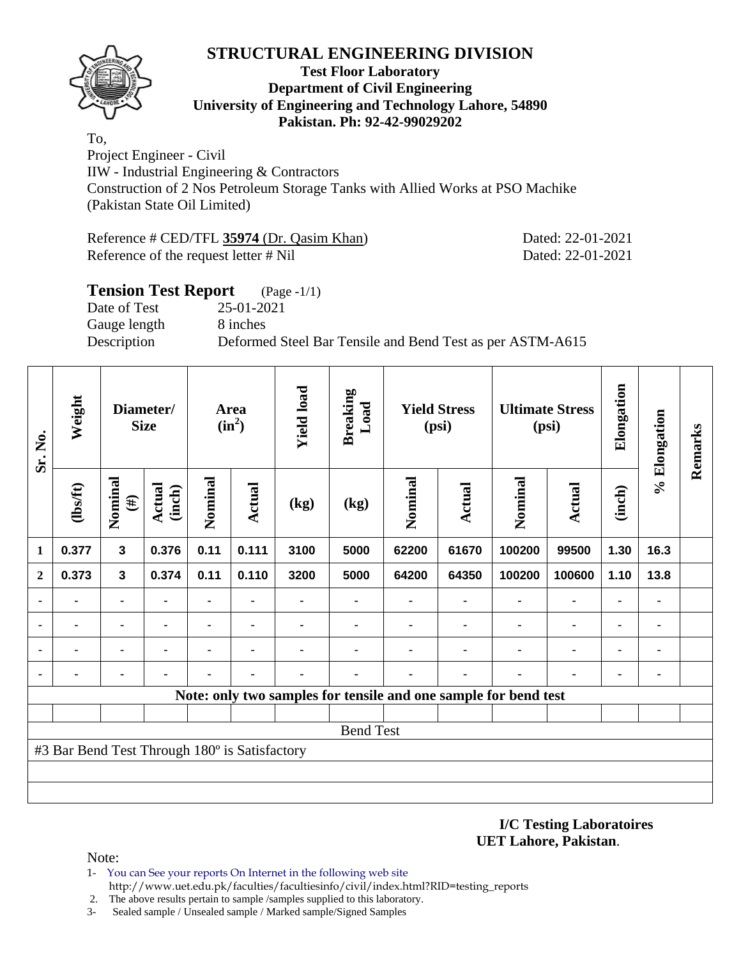

#### **Test Floor Laboratory Department of Civil Engineering University of Engineering and Technology Lahore, 54890 Pakistan. Ph: 92-42-99029202**

To, Project Engineer - Civil IIW - Industrial Engineering & Contractors Construction of 2 Nos Petroleum Storage Tanks with Allied Works at PSO Machike (Pakistan State Oil Limited)

Reference # CED/TFL **35974** (Dr. Qasim Khan) Dated: 22-01-2021 Reference of the request letter # Nil Dated: 22-01-2021

# **Tension Test Report** (Page -1/1) Date of Test 25-01-2021 Gauge length 8 inches Description Deformed Steel Bar Tensile and Bend Test as per ASTM-A615

| Sr. No.      | Weight                                        | Diameter/<br><b>Size</b> |                         | Area<br>$(in^2)$ |        | <b>Yield load</b> | <b>Breaking</b><br>Load                                         | <b>Yield Stress</b><br>(psi) |               | <b>Ultimate Stress</b><br>(psi) |                | Elongation     | % Elongation   | Remarks |
|--------------|-----------------------------------------------|--------------------------|-------------------------|------------------|--------|-------------------|-----------------------------------------------------------------|------------------------------|---------------|---------------------------------|----------------|----------------|----------------|---------|
|              | (1bsft)                                       | Nominal<br>$(\#)$        | <b>Actual</b><br>(inch) | Nominal          | Actual | (kg)              | (kg)                                                            | Nominal                      | <b>Actual</b> | Nominal                         | Actual         | (inch)         |                |         |
| 1            | 0.377                                         | $\mathbf{3}$             | 0.376                   | 0.11             | 0.111  | 3100              | 5000                                                            | 62200                        | 61670         | 100200                          | 99500          | 1.30           | 16.3           |         |
| $\mathbf{2}$ | 0.373                                         | $\mathbf{3}$             | 0.374                   | 0.11             | 0.110  | 3200              | 5000                                                            | 64200                        | 64350         | 100200                          | 100600         | 1.10           | 13.8           |         |
|              |                                               |                          |                         |                  |        |                   |                                                                 |                              |               |                                 | $\blacksquare$ |                | $\blacksquare$ |         |
|              |                                               |                          |                         | ۰                |        |                   |                                                                 |                              |               |                                 | $\blacksquare$ | $\blacksquare$ | ۰              |         |
|              |                                               |                          |                         |                  |        |                   |                                                                 |                              |               | ٠                               | ٠              | ٠              | ٠              |         |
|              |                                               |                          |                         |                  |        |                   |                                                                 |                              |               |                                 |                |                | ۰              |         |
|              |                                               |                          |                         |                  |        |                   | Note: only two samples for tensile and one sample for bend test |                              |               |                                 |                |                |                |         |
|              |                                               |                          |                         |                  |        |                   |                                                                 |                              |               |                                 |                |                |                |         |
|              | <b>Bend Test</b>                              |                          |                         |                  |        |                   |                                                                 |                              |               |                                 |                |                |                |         |
|              | #3 Bar Bend Test Through 180° is Satisfactory |                          |                         |                  |        |                   |                                                                 |                              |               |                                 |                |                |                |         |
|              |                                               |                          |                         |                  |        |                   |                                                                 |                              |               |                                 |                |                |                |         |
|              |                                               |                          |                         |                  |        |                   |                                                                 |                              |               |                                 |                |                |                |         |

**I/C Testing Laboratoires UET Lahore, Pakistan**.

Note:

- 1- You can See your reports On Internet in the following web site http://www.uet.edu.pk/faculties/facultiesinfo/civil/index.html?RID=testing\_reports
- 2. The above results pertain to sample /samples supplied to this laboratory.
- 3- Sealed sample / Unsealed sample / Marked sample/Signed Samples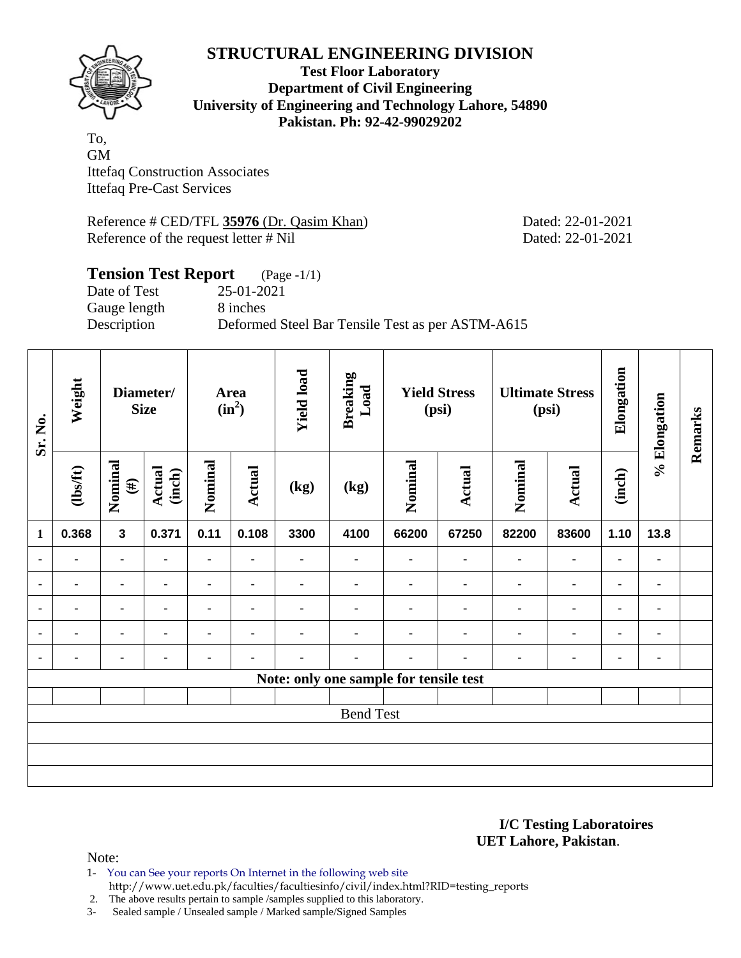

**Test Floor Laboratory Department of Civil Engineering University of Engineering and Technology Lahore, 54890 Pakistan. Ph: 92-42-99029202** 

To, GM Ittefaq Construction Associates Ittefaq Pre-Cast Services

Reference # CED/TFL 35976 (Dr. Qasim Khan) Dated: 22-01-2021 Reference of the request letter # Nil Dated: 22-01-2021

#### **Tension Test Report** (Page -1/1) Date of Test 25-01-2021 Gauge length 8 inches Description Deformed Steel Bar Tensile Test as per ASTM-A615

| Sr. No.                                | Weight           | Diameter/<br><b>Size</b> |                         | Area<br>$(in^2)$ |                | <b>Yield load</b> | <b>Breaking</b><br>Load | <b>Yield Stress</b><br>(psi) |                | <b>Ultimate Stress</b><br>(psi) |               | Elongation     | % Elongation   | Remarks |
|----------------------------------------|------------------|--------------------------|-------------------------|------------------|----------------|-------------------|-------------------------|------------------------------|----------------|---------------------------------|---------------|----------------|----------------|---------|
|                                        | $\frac{2}{10}$   | Nominal<br>$(\#)$        | <b>Actual</b><br>(inch) | Nominal          | Actual         | (kg)              | (kg)                    | Nominal                      | <b>Actual</b>  | Nominal                         | <b>Actual</b> | (inch)         |                |         |
| $\mathbf{1}$                           | 0.368            | $\overline{\mathbf{3}}$  | 0.371                   | 0.11             | 0.108          | 3300              | 4100                    | 66200                        | 67250          | 82200                           | 83600         | 1.10           | 13.8           |         |
| $\blacksquare$                         |                  | $\blacksquare$           |                         | ۰                | $\blacksquare$ | ۰                 | $\blacksquare$          |                              | ٠              | $\blacksquare$                  | ۰             | $\blacksquare$ |                |         |
| $\blacksquare$                         |                  | $\blacksquare$           | $\blacksquare$          | $\blacksquare$   | $\blacksquare$ | ۰                 | ۰                       |                              | $\blacksquare$ | $\blacksquare$                  | ۰             | ۰              | $\blacksquare$ |         |
| ٠                                      |                  | $\blacksquare$           |                         | $\blacksquare$   | $\blacksquare$ |                   |                         |                              | ٠              | $\blacksquare$                  | ۰             | ٠              |                |         |
| ٠                                      | ۰                |                          |                         | $\blacksquare$   | $\blacksquare$ | ٠                 |                         |                              |                |                                 | ٠             | ٠              |                |         |
| $\blacksquare$                         |                  |                          |                         |                  |                | -                 |                         |                              |                |                                 | ٠             | ٠              | ٠              |         |
| Note: only one sample for tensile test |                  |                          |                         |                  |                |                   |                         |                              |                |                                 |               |                |                |         |
|                                        |                  |                          |                         |                  |                |                   |                         |                              |                |                                 |               |                |                |         |
|                                        | <b>Bend Test</b> |                          |                         |                  |                |                   |                         |                              |                |                                 |               |                |                |         |
|                                        |                  |                          |                         |                  |                |                   |                         |                              |                |                                 |               |                |                |         |
|                                        |                  |                          |                         |                  |                |                   |                         |                              |                |                                 |               |                |                |         |
|                                        |                  |                          |                         |                  |                |                   |                         |                              |                |                                 |               |                |                |         |

**I/C Testing Laboratoires UET Lahore, Pakistan**.

Note:

1- You can See your reports On Internet in the following web site http://www.uet.edu.pk/faculties/facultiesinfo/civil/index.html?RID=testing\_reports

2. The above results pertain to sample /samples supplied to this laboratory.

3- Sealed sample / Unsealed sample / Marked sample/Signed Samples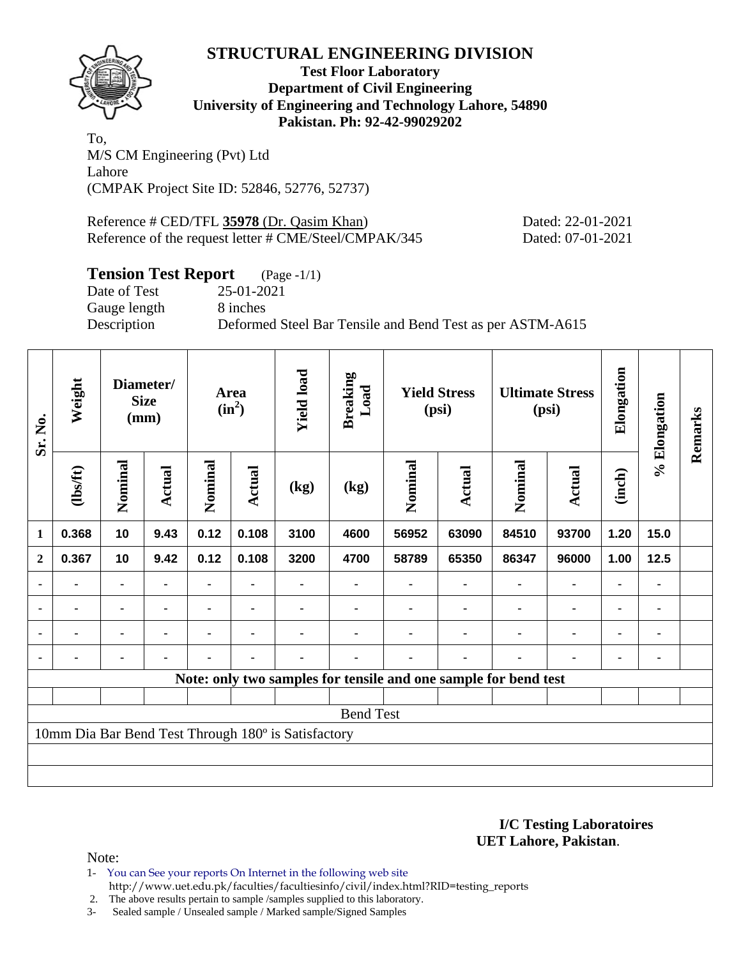

**Test Floor Laboratory Department of Civil Engineering University of Engineering and Technology Lahore, 54890 Pakistan. Ph: 92-42-99029202** 

To, M/S CM Engineering (Pvt) Ltd Lahore (CMPAK Project Site ID: 52846, 52776, 52737)

Reference # CED/TFL **35978** (Dr. Qasim Khan) Dated: 22-01-2021 Reference of the request letter # CME/Steel/CMPAK/345 Dated: 07-01-2021

#### **Tension Test Report** (Page -1/1)

Date of Test 25-01-2021 Gauge length 8 inches

Description Deformed Steel Bar Tensile and Bend Test as per ASTM-A615

| Sr. No.          | Weight                                                          | Diameter/<br><b>Size</b><br>(mm) |               | Area<br>$(in^2)$ |                | <b>Yield load</b> | <b>Breaking</b><br>Load | <b>Yield Stress</b><br>(psi) |        | <b>Ultimate Stress</b><br>(psi) |                | Elongation     | % Elongation | Remarks |
|------------------|-----------------------------------------------------------------|----------------------------------|---------------|------------------|----------------|-------------------|-------------------------|------------------------------|--------|---------------------------------|----------------|----------------|--------------|---------|
|                  | (lbs/ft)                                                        | Nominal                          | <b>Actual</b> | Nominal          | Actual         | (kg)              | (kg)                    | Nominal                      | Actual | Nominal                         | Actual         | (inch)         |              |         |
| $\mathbf{1}$     | 0.368                                                           | 10                               | 9.43          | 0.12             | 0.108          | 3100              | 4600                    | 56952                        | 63090  | 84510                           | 93700          | 1.20           | 15.0         |         |
| $\boldsymbol{2}$ | 0.367                                                           | 10                               | 9.42          | 0.12             | 0.108          | 3200              | 4700                    | 58789                        | 65350  | 86347                           | 96000          | 1.00           | 12.5         |         |
| ٠                |                                                                 |                                  |               |                  |                |                   |                         |                              |        |                                 | ۰              | ۰              |              |         |
| $\blacksquare$   | $\blacksquare$                                                  |                                  |               |                  | $\blacksquare$ |                   |                         |                              |        | $\blacksquare$                  | $\blacksquare$ | $\blacksquare$ |              |         |
| $\blacksquare$   | -                                                               |                                  |               | ۰                | $\blacksquare$ |                   |                         |                              | ٠      | ٠                               | ۰              | ۰              | ٠            |         |
|                  |                                                                 |                                  |               |                  | $\blacksquare$ | $\blacksquare$    |                         |                              | ٠      |                                 | ٠              | $\blacksquare$ |              |         |
|                  | Note: only two samples for tensile and one sample for bend test |                                  |               |                  |                |                   |                         |                              |        |                                 |                |                |              |         |
|                  |                                                                 |                                  |               |                  |                |                   |                         |                              |        |                                 |                |                |              |         |
|                  | <b>Bend Test</b>                                                |                                  |               |                  |                |                   |                         |                              |        |                                 |                |                |              |         |
|                  | 10mm Dia Bar Bend Test Through 180° is Satisfactory             |                                  |               |                  |                |                   |                         |                              |        |                                 |                |                |              |         |
|                  |                                                                 |                                  |               |                  |                |                   |                         |                              |        |                                 |                |                |              |         |
|                  |                                                                 |                                  |               |                  |                |                   |                         |                              |        |                                 |                |                |              |         |

#### **I/C Testing Laboratoires UET Lahore, Pakistan**.

Note:

- 1- You can See your reports On Internet in the following web site http://www.uet.edu.pk/faculties/facultiesinfo/civil/index.html?RID=testing\_reports
- 2. The above results pertain to sample /samples supplied to this laboratory.
- 3- Sealed sample / Unsealed sample / Marked sample/Signed Samples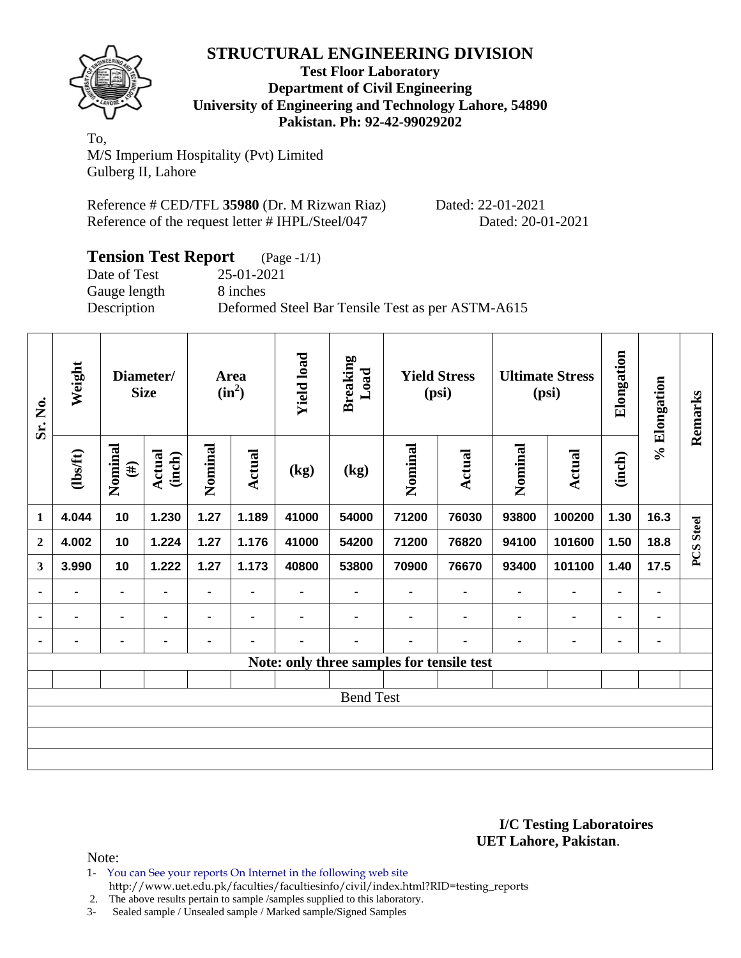

**Test Floor Laboratory Department of Civil Engineering University of Engineering and Technology Lahore, 54890 Pakistan. Ph: 92-42-99029202** 

To, M/S Imperium Hospitality (Pvt) Limited Gulberg II, Lahore

Reference # CED/TFL **35980** (Dr. M Rizwan Riaz) Dated: 22-01-2021 Reference of the request letter # IHPL/Steel/047 Dated: 20-01-2021

| <b>Tension Test Report</b><br>$(Page - 1/1)$ |                                                  |  |  |  |  |  |  |  |
|----------------------------------------------|--------------------------------------------------|--|--|--|--|--|--|--|
| Date of Test                                 | 25-01-2021                                       |  |  |  |  |  |  |  |
| Gauge length                                 | 8 inches                                         |  |  |  |  |  |  |  |
| Description                                  | Deformed Steel Bar Tensile Test as per ASTM-A615 |  |  |  |  |  |  |  |

| Sr. No.      | Weight                                    | Diameter/<br><b>Size</b> |                         | Area<br>$(in^2)$ |                | <b>Yield load</b> | <b>Breaking</b><br>Load | <b>Yield Stress</b><br>(psi) |                | <b>Ultimate Stress</b><br>(psi) |                | Elongation     | % Elongation | Remarks          |
|--------------|-------------------------------------------|--------------------------|-------------------------|------------------|----------------|-------------------|-------------------------|------------------------------|----------------|---------------------------------|----------------|----------------|--------------|------------------|
|              | $\frac{2}{10}$                            | Nominal<br>$(\#)$        | <b>Actual</b><br>(inch) | Nominal          | <b>Actual</b>  | (kg)              | (kg)                    | Nominal                      | Actual         | Nominal                         | <b>Actual</b>  | (inch)         |              |                  |
| 1            | 4.044                                     | 10                       | 1.230                   | 1.27             | 1.189          | 41000             | 54000                   | 71200                        | 76030          | 93800                           | 100200         | 1.30           | 16.3         |                  |
| $\mathbf{2}$ | 4.002                                     | 10                       | 1.224                   | 1.27             | 1.176          | 41000             | 54200                   | 71200                        | 76820          | 94100                           | 101600         | 1.50           | 18.8         | <b>PCS</b> Steel |
| 3            | 3.990                                     | 10                       | 1.222                   | 1.27             | 1.173          | 40800             | 53800                   | 70900                        | 76670          | 93400                           | 101100         | 1.40           | 17.5         |                  |
| ٠            | ۰                                         | $\blacksquare$           | ۰                       | $\blacksquare$   | $\blacksquare$ |                   | $\blacksquare$          | $\blacksquare$               | $\blacksquare$ | $\blacksquare$                  | $\blacksquare$ | $\blacksquare$ | ٠            |                  |
| ٠            | ۰                                         | ۰                        | $\blacksquare$          | ۰                | $\blacksquare$ |                   | ۰                       |                              |                | ٠                               | $\blacksquare$ | $\blacksquare$ | ۰            |                  |
| ٠            | ۰                                         | ۰                        | ٠                       | ۰                | $\blacksquare$ | ۰                 | -                       | ۰                            |                | ٠                               | ٠              | $\blacksquare$ | ۰            |                  |
|              | Note: only three samples for tensile test |                          |                         |                  |                |                   |                         |                              |                |                                 |                |                |              |                  |
|              |                                           |                          |                         |                  |                |                   |                         |                              |                |                                 |                |                |              |                  |
|              | <b>Bend Test</b>                          |                          |                         |                  |                |                   |                         |                              |                |                                 |                |                |              |                  |
|              |                                           |                          |                         |                  |                |                   |                         |                              |                |                                 |                |                |              |                  |
|              |                                           |                          |                         |                  |                |                   |                         |                              |                |                                 |                |                |              |                  |
|              |                                           |                          |                         |                  |                |                   |                         |                              |                |                                 |                |                |              |                  |

#### **I/C Testing Laboratoires UET Lahore, Pakistan**.

Note:

1- You can See your reports On Internet in the following web site http://www.uet.edu.pk/faculties/facultiesinfo/civil/index.html?RID=testing\_reports

2. The above results pertain to sample /samples supplied to this laboratory.

3- Sealed sample / Unsealed sample / Marked sample/Signed Samples